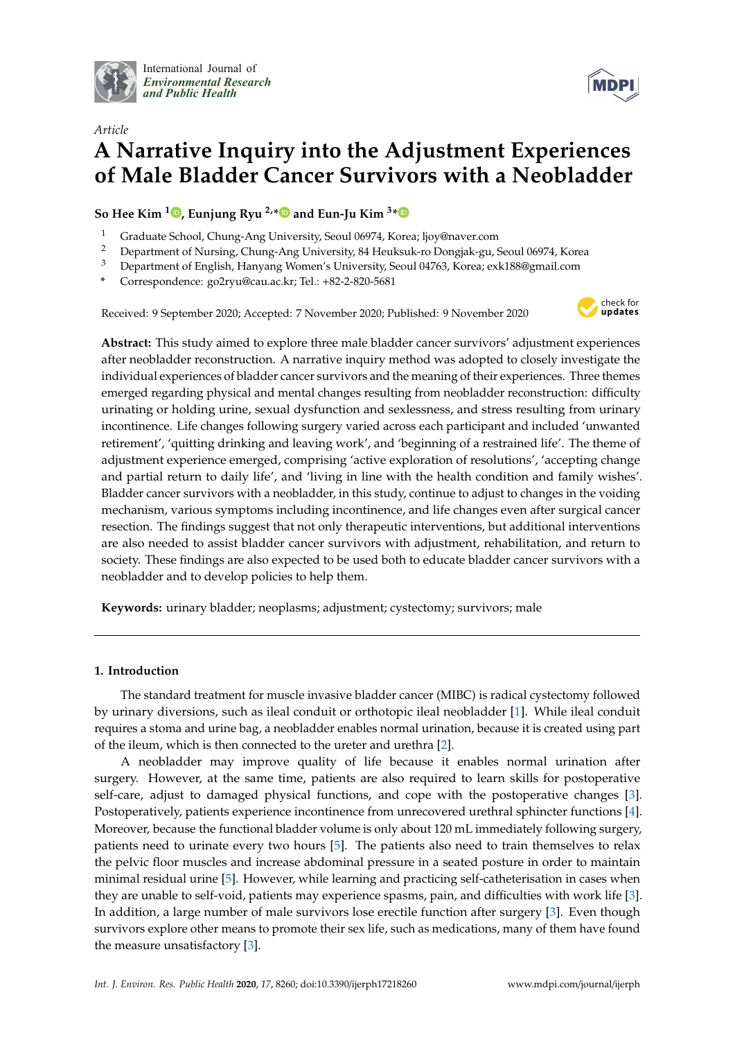

International Journal of *[Environmental Research](http://www.mdpi.com/journal/ijerph) and Public Health*



# *Article* **A Narrative Inquiry into the Adjustment Experiences of Male Bladder Cancer Survivors with a Neobladder**

**So Hee Kim <sup>1</sup> [,](https://orcid.org/0000-0002-1941-0953) Eunjung Ryu 2,[\\*](https://orcid.org/0000-0002-2232-6082) and Eun-Ju Kim <sup>3</sup> [\\*](https://orcid.org/0000-0002-3929-2720)**

- <sup>1</sup> Graduate School, Chung-Ang University, Seoul 06974, Korea; ljoy@naver.com
- <sup>2</sup> Department of Nursing, Chung-Ang University, 84 Heuksuk-ro Dongjak-gu, Seoul 06974, Korea<sup>3</sup>
- <sup>3</sup> Department of English, Hanyang Women's University, Seoul 04763, Korea; exk188@gmail.com
- **\*** Correspondence: go2ryu@cau.ac.kr; Tel.: +82-2-820-5681

Received: 9 September 2020; Accepted: 7 November 2020; Published: 9 November 2020



**Abstract:** This study aimed to explore three male bladder cancer survivors' adjustment experiences after neobladder reconstruction. A narrative inquiry method was adopted to closely investigate the individual experiences of bladder cancer survivors and the meaning of their experiences. Three themes emerged regarding physical and mental changes resulting from neobladder reconstruction: difficulty urinating or holding urine, sexual dysfunction and sexlessness, and stress resulting from urinary incontinence. Life changes following surgery varied across each participant and included 'unwanted retirement', 'quitting drinking and leaving work', and 'beginning of a restrained life'. The theme of adjustment experience emerged, comprising 'active exploration of resolutions', 'accepting change and partial return to daily life', and 'living in line with the health condition and family wishes'. Bladder cancer survivors with a neobladder, in this study, continue to adjust to changes in the voiding mechanism, various symptoms including incontinence, and life changes even after surgical cancer resection. The findings suggest that not only therapeutic interventions, but additional interventions are also needed to assist bladder cancer survivors with adjustment, rehabilitation, and return to society. These findings are also expected to be used both to educate bladder cancer survivors with a neobladder and to develop policies to help them.

**Keywords:** urinary bladder; neoplasms; adjustment; cystectomy; survivors; male

# **1. Introduction**

The standard treatment for muscle invasive bladder cancer (MIBC) is radical cystectomy followed by urinary diversions, such as ileal conduit or orthotopic ileal neobladder [\[1\]](#page-12-0). While ileal conduit requires a stoma and urine bag, a neobladder enables normal urination, because it is created using part of the ileum, which is then connected to the ureter and urethra [\[2\]](#page-12-1).

A neobladder may improve quality of life because it enables normal urination after surgery. However, at the same time, patients are also required to learn skills for postoperative self-care, adjust to damaged physical functions, and cope with the postoperative changes [\[3\]](#page-12-2). Postoperatively, patients experience incontinence from unrecovered urethral sphincter functions [\[4\]](#page-13-0). Moreover, because the functional bladder volume is only about 120 mL immediately following surgery, patients need to urinate every two hours [\[5\]](#page-13-1). The patients also need to train themselves to relax the pelvic floor muscles and increase abdominal pressure in a seated posture in order to maintain minimal residual urine [\[5\]](#page-13-1). However, while learning and practicing self-catheterisation in cases when they are unable to self-void, patients may experience spasms, pain, and difficulties with work life [\[3\]](#page-12-2). In addition, a large number of male survivors lose erectile function after surgery [\[3\]](#page-12-2). Even though survivors explore other means to promote their sex life, such as medications, many of them have found the measure unsatisfactory [\[3\]](#page-12-2).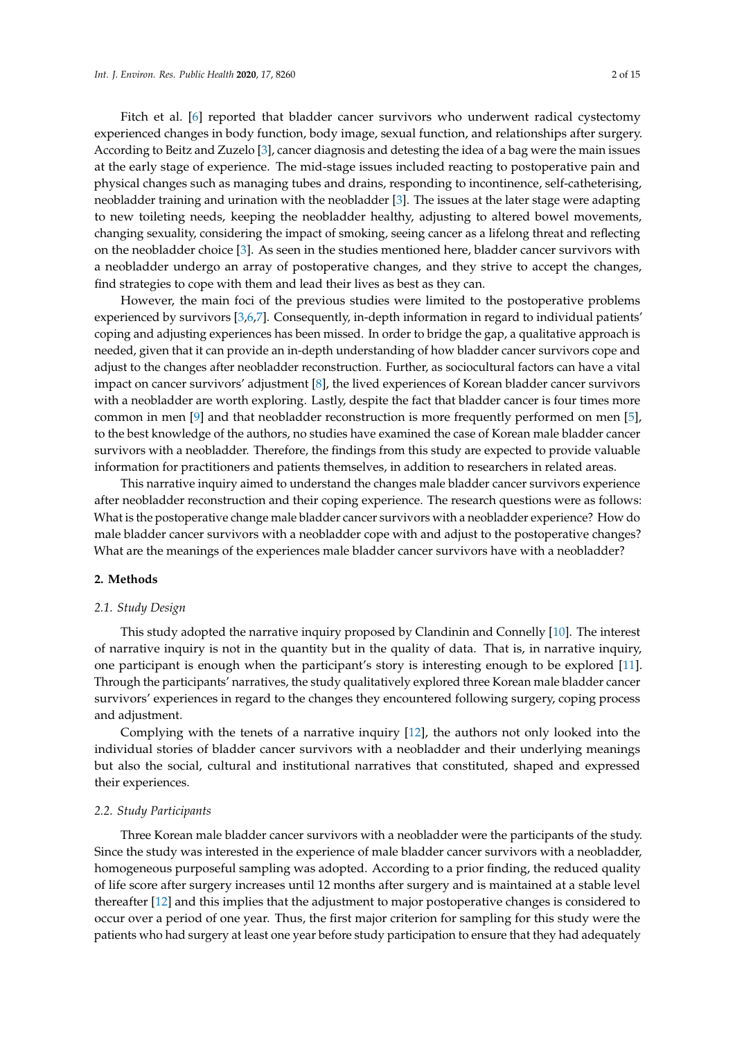Fitch et al. [\[6\]](#page-13-2) reported that bladder cancer survivors who underwent radical cystectomy experienced changes in body function, body image, sexual function, and relationships after surgery. According to Beitz and Zuzelo [\[3\]](#page-12-2), cancer diagnosis and detesting the idea of a bag were the main issues at the early stage of experience. The mid-stage issues included reacting to postoperative pain and physical changes such as managing tubes and drains, responding to incontinence, self-catheterising, neobladder training and urination with the neobladder [\[3\]](#page-12-2). The issues at the later stage were adapting to new toileting needs, keeping the neobladder healthy, adjusting to altered bowel movements, changing sexuality, considering the impact of smoking, seeing cancer as a lifelong threat and reflecting on the neobladder choice [\[3\]](#page-12-2). As seen in the studies mentioned here, bladder cancer survivors with a neobladder undergo an array of postoperative changes, and they strive to accept the changes, find strategies to cope with them and lead their lives as best as they can.

However, the main foci of the previous studies were limited to the postoperative problems experienced by survivors [\[3](#page-12-2)[,6](#page-13-2)[,7\]](#page-13-3). Consequently, in-depth information in regard to individual patients' coping and adjusting experiences has been missed. In order to bridge the gap, a qualitative approach is needed, given that it can provide an in-depth understanding of how bladder cancer survivors cope and adjust to the changes after neobladder reconstruction. Further, as sociocultural factors can have a vital impact on cancer survivors' adjustment [\[8\]](#page-13-4), the lived experiences of Korean bladder cancer survivors with a neobladder are worth exploring. Lastly, despite the fact that bladder cancer is four times more common in men [\[9\]](#page-13-5) and that neobladder reconstruction is more frequently performed on men [\[5\]](#page-13-1), to the best knowledge of the authors, no studies have examined the case of Korean male bladder cancer survivors with a neobladder. Therefore, the findings from this study are expected to provide valuable information for practitioners and patients themselves, in addition to researchers in related areas.

This narrative inquiry aimed to understand the changes male bladder cancer survivors experience after neobladder reconstruction and their coping experience. The research questions were as follows: What is the postoperative change male bladder cancer survivors with a neobladder experience? How do male bladder cancer survivors with a neobladder cope with and adjust to the postoperative changes? What are the meanings of the experiences male bladder cancer survivors have with a neobladder?

#### **2. Methods**

#### *2.1. Study Design*

This study adopted the narrative inquiry proposed by Clandinin and Connelly [\[10\]](#page-13-6). The interest of narrative inquiry is not in the quantity but in the quality of data. That is, in narrative inquiry, one participant is enough when the participant's story is interesting enough to be explored [\[11\]](#page-13-7). Through the participants' narratives, the study qualitatively explored three Korean male bladder cancer survivors' experiences in regard to the changes they encountered following surgery, coping process and adjustment.

Complying with the tenets of a narrative inquiry [\[12\]](#page-13-8), the authors not only looked into the individual stories of bladder cancer survivors with a neobladder and their underlying meanings but also the social, cultural and institutional narratives that constituted, shaped and expressed their experiences.

## *2.2. Study Participants*

Three Korean male bladder cancer survivors with a neobladder were the participants of the study. Since the study was interested in the experience of male bladder cancer survivors with a neobladder, homogeneous purposeful sampling was adopted. According to a prior finding, the reduced quality of life score after surgery increases until 12 months after surgery and is maintained at a stable level thereafter [\[12\]](#page-13-8) and this implies that the adjustment to major postoperative changes is considered to occur over a period of one year. Thus, the first major criterion for sampling for this study were the patients who had surgery at least one year before study participation to ensure that they had adequately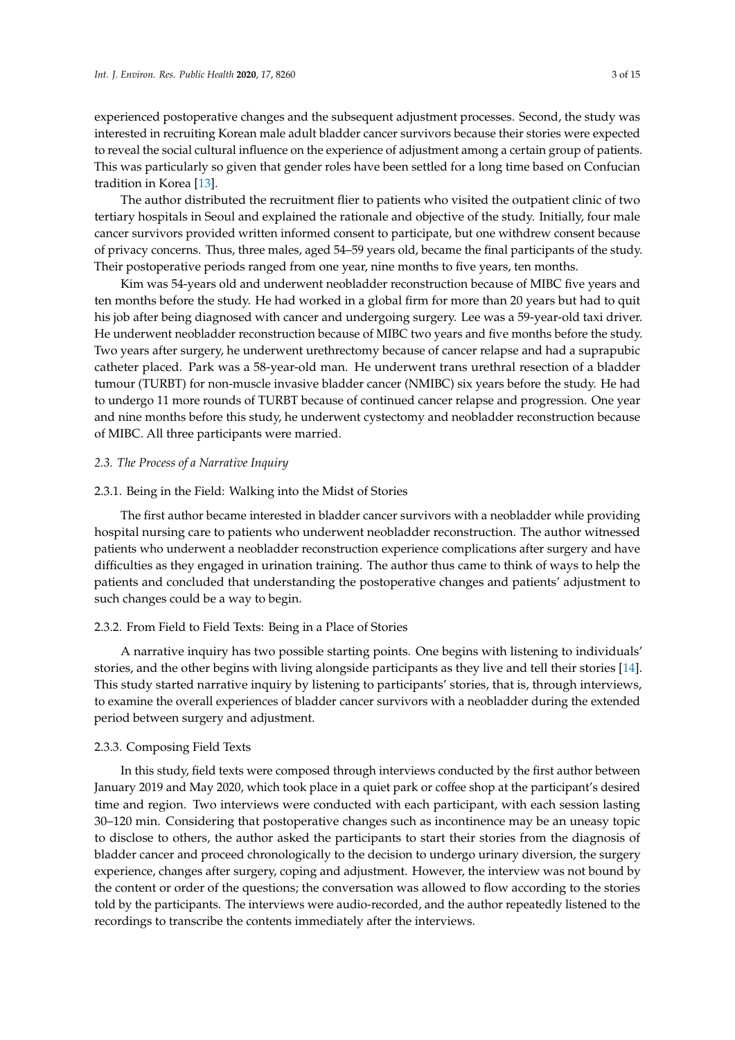experienced postoperative changes and the subsequent adjustment processes. Second, the study was interested in recruiting Korean male adult bladder cancer survivors because their stories were expected to reveal the social cultural influence on the experience of adjustment among a certain group of patients. This was particularly so given that gender roles have been settled for a long time based on Confucian tradition in Korea [\[13\]](#page-13-9).

The author distributed the recruitment flier to patients who visited the outpatient clinic of two tertiary hospitals in Seoul and explained the rationale and objective of the study. Initially, four male cancer survivors provided written informed consent to participate, but one withdrew consent because of privacy concerns. Thus, three males, aged 54–59 years old, became the final participants of the study. Their postoperative periods ranged from one year, nine months to five years, ten months.

Kim was 54-years old and underwent neobladder reconstruction because of MIBC five years and ten months before the study. He had worked in a global firm for more than 20 years but had to quit his job after being diagnosed with cancer and undergoing surgery. Lee was a 59-year-old taxi driver. He underwent neobladder reconstruction because of MIBC two years and five months before the study. Two years after surgery, he underwent urethrectomy because of cancer relapse and had a suprapubic catheter placed. Park was a 58-year-old man. He underwent trans urethral resection of a bladder tumour (TURBT) for non-muscle invasive bladder cancer (NMIBC) six years before the study. He had to undergo 11 more rounds of TURBT because of continued cancer relapse and progression. One year and nine months before this study, he underwent cystectomy and neobladder reconstruction because of MIBC. All three participants were married.

#### *2.3. The Process of a Narrative Inquiry*

## 2.3.1. Being in the Field: Walking into the Midst of Stories

The first author became interested in bladder cancer survivors with a neobladder while providing hospital nursing care to patients who underwent neobladder reconstruction. The author witnessed patients who underwent a neobladder reconstruction experience complications after surgery and have difficulties as they engaged in urination training. The author thus came to think of ways to help the patients and concluded that understanding the postoperative changes and patients' adjustment to such changes could be a way to begin.

## 2.3.2. From Field to Field Texts: Being in a Place of Stories

A narrative inquiry has two possible starting points. One begins with listening to individuals' stories, and the other begins with living alongside participants as they live and tell their stories [\[14\]](#page-13-10). This study started narrative inquiry by listening to participants' stories, that is, through interviews, to examine the overall experiences of bladder cancer survivors with a neobladder during the extended period between surgery and adjustment.

#### 2.3.3. Composing Field Texts

In this study, field texts were composed through interviews conducted by the first author between January 2019 and May 2020, which took place in a quiet park or coffee shop at the participant's desired time and region. Two interviews were conducted with each participant, with each session lasting 30–120 min. Considering that postoperative changes such as incontinence may be an uneasy topic to disclose to others, the author asked the participants to start their stories from the diagnosis of bladder cancer and proceed chronologically to the decision to undergo urinary diversion, the surgery experience, changes after surgery, coping and adjustment. However, the interview was not bound by the content or order of the questions; the conversation was allowed to flow according to the stories told by the participants. The interviews were audio-recorded, and the author repeatedly listened to the recordings to transcribe the contents immediately after the interviews.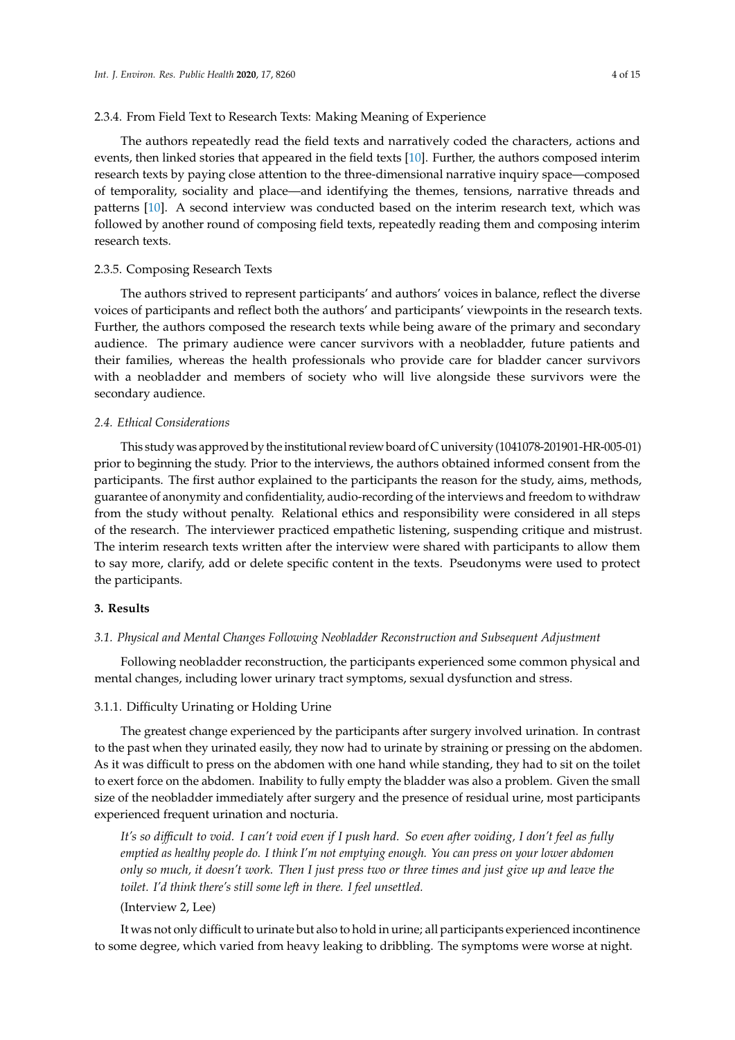## 2.3.4. From Field Text to Research Texts: Making Meaning of Experience

The authors repeatedly read the field texts and narratively coded the characters, actions and events, then linked stories that appeared in the field texts [\[10\]](#page-13-6). Further, the authors composed interim research texts by paying close attention to the three-dimensional narrative inquiry space—composed of temporality, sociality and place—and identifying the themes, tensions, narrative threads and patterns [\[10\]](#page-13-6). A second interview was conducted based on the interim research text, which was followed by another round of composing field texts, repeatedly reading them and composing interim research texts.

## 2.3.5. Composing Research Texts

The authors strived to represent participants' and authors' voices in balance, reflect the diverse voices of participants and reflect both the authors' and participants' viewpoints in the research texts. Further, the authors composed the research texts while being aware of the primary and secondary audience. The primary audience were cancer survivors with a neobladder, future patients and their families, whereas the health professionals who provide care for bladder cancer survivors with a neobladder and members of society who will live alongside these survivors were the secondary audience.

#### *2.4. Ethical Considerations*

This study was approved by the institutional review board of C university (1041078-201901-HR-005-01) prior to beginning the study. Prior to the interviews, the authors obtained informed consent from the participants. The first author explained to the participants the reason for the study, aims, methods, guarantee of anonymity and confidentiality, audio-recording of the interviews and freedom to withdraw from the study without penalty. Relational ethics and responsibility were considered in all steps of the research. The interviewer practiced empathetic listening, suspending critique and mistrust. The interim research texts written after the interview were shared with participants to allow them to say more, clarify, add or delete specific content in the texts. Pseudonyms were used to protect the participants.

#### **3. Results**

## *3.1. Physical and Mental Changes Following Neobladder Reconstruction and Subsequent Adjustment*

Following neobladder reconstruction, the participants experienced some common physical and mental changes, including lower urinary tract symptoms, sexual dysfunction and stress.

## 3.1.1. Difficulty Urinating or Holding Urine

The greatest change experienced by the participants after surgery involved urination. In contrast to the past when they urinated easily, they now had to urinate by straining or pressing on the abdomen. As it was difficult to press on the abdomen with one hand while standing, they had to sit on the toilet to exert force on the abdomen. Inability to fully empty the bladder was also a problem. Given the small size of the neobladder immediately after surgery and the presence of residual urine, most participants experienced frequent urination and nocturia.

*It's so di*ffi*cult to void. I can't void even if I push hard. So even after voiding, I don't feel as fully emptied as healthy people do. I think I'm not emptying enough. You can press on your lower abdomen only so much, it doesn't work. Then I just press two or three times and just give up and leave the toilet. I'd think there's still some left in there. I feel unsettled.*

## (Interview 2, Lee)

It was not only difficult to urinate but also to hold in urine; all participants experienced incontinence to some degree, which varied from heavy leaking to dribbling. The symptoms were worse at night.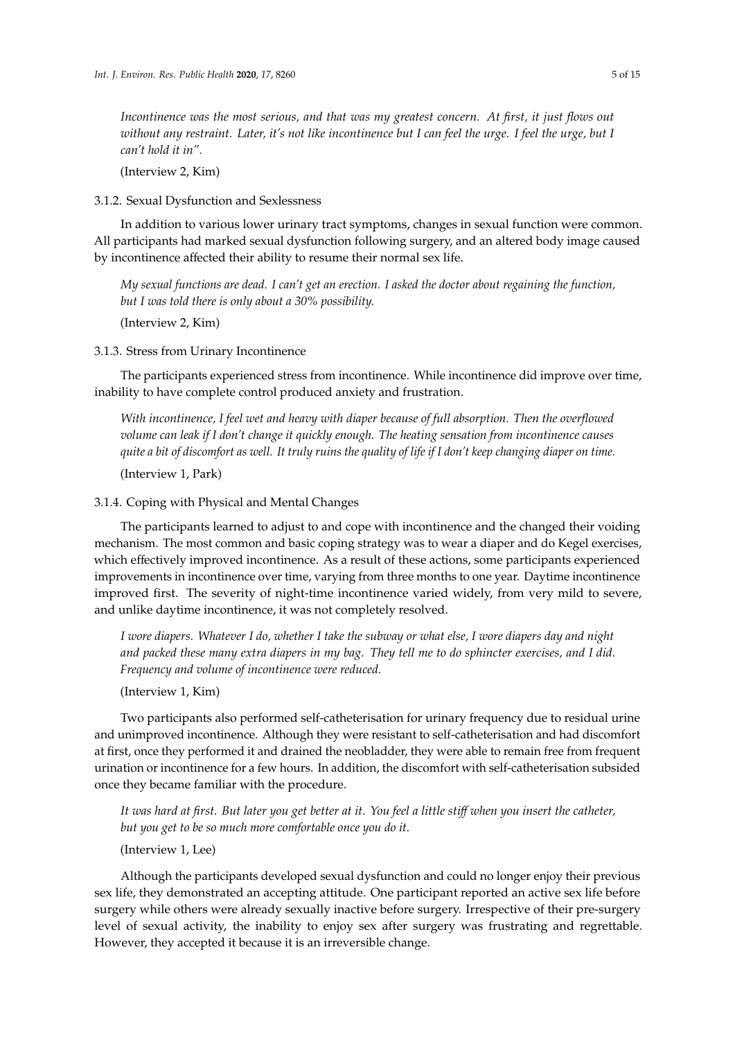*Incontinence was the most serious, and that was my greatest concern. At first, it just flows out without any restraint. Later, it's not like incontinence but I can feel the urge. I feel the urge, but I can't hold it in".*

(Interview 2, Kim)

3.1.2. Sexual Dysfunction and Sexlessness

In addition to various lower urinary tract symptoms, changes in sexual function were common. All participants had marked sexual dysfunction following surgery, and an altered body image caused by incontinence affected their ability to resume their normal sex life.

*My sexual functions are dead. I can't get an erection. I asked the doctor about regaining the function, but I was told there is only about a 30% possibility.*

(Interview 2, Kim)

#### 3.1.3. Stress from Urinary Incontinence

The participants experienced stress from incontinence. While incontinence did improve over time, inability to have complete control produced anxiety and frustration.

*With incontinence, I feel wet and heavy with diaper because of full absorption. Then the overflowed volume can leak if I don't change it quickly enough. The heating sensation from incontinence causes quite a bit of discomfort as well. It truly ruins the quality of life if I don't keep changing diaper on time.*

(Interview 1, Park)

## 3.1.4. Coping with Physical and Mental Changes

The participants learned to adjust to and cope with incontinence and the changed their voiding mechanism. The most common and basic coping strategy was to wear a diaper and do Kegel exercises, which effectively improved incontinence. As a result of these actions, some participants experienced improvements in incontinence over time, varying from three months to one year. Daytime incontinence improved first. The severity of night-time incontinence varied widely, from very mild to severe, and unlike daytime incontinence, it was not completely resolved.

*I wore diapers. Whatever I do, whether I take the subway or what else, I wore diapers day and night and packed these many extra diapers in my bag. They tell me to do sphincter exercises, and I did. Frequency and volume of incontinence were reduced.*

(Interview 1, Kim)

Two participants also performed self-catheterisation for urinary frequency due to residual urine and unimproved incontinence. Although they were resistant to self-catheterisation and had discomfort at first, once they performed it and drained the neobladder, they were able to remain free from frequent urination or incontinence for a few hours. In addition, the discomfort with self-catheterisation subsided once they became familiar with the procedure.

*It was hard at first. But later you get better at it. You feel a little sti*ff *when you insert the catheter, but you get to be so much more comfortable once you do it.*

(Interview 1, Lee)

Although the participants developed sexual dysfunction and could no longer enjoy their previous sex life, they demonstrated an accepting attitude. One participant reported an active sex life before surgery while others were already sexually inactive before surgery. Irrespective of their pre-surgery level of sexual activity, the inability to enjoy sex after surgery was frustrating and regrettable. However, they accepted it because it is an irreversible change.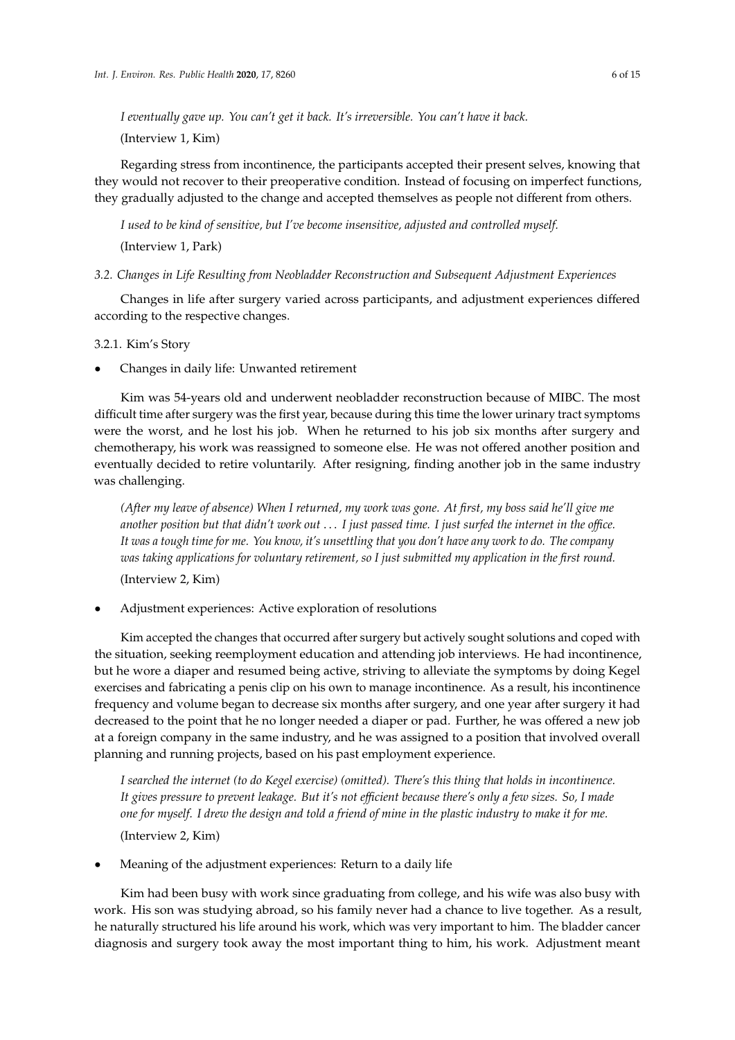*I eventually gave up. You can't get it back. It's irreversible. You can't have it back.*

(Interview 1, Kim)

Regarding stress from incontinence, the participants accepted their present selves, knowing that they would not recover to their preoperative condition. Instead of focusing on imperfect functions, they gradually adjusted to the change and accepted themselves as people not different from others.

*I used to be kind of sensitive, but I've become insensitive, adjusted and controlled myself.* (Interview 1, Park)

*3.2. Changes in Life Resulting from Neobladder Reconstruction and Subsequent Adjustment Experiences*

Changes in life after surgery varied across participants, and adjustment experiences differed according to the respective changes.

3.2.1. Kim's Story

• Changes in daily life: Unwanted retirement

Kim was 54-years old and underwent neobladder reconstruction because of MIBC. The most difficult time after surgery was the first year, because during this time the lower urinary tract symptoms were the worst, and he lost his job. When he returned to his job six months after surgery and chemotherapy, his work was reassigned to someone else. He was not offered another position and eventually decided to retire voluntarily. After resigning, finding another job in the same industry was challenging.

*(After my leave of absence) When I returned, my work was gone. At first, my boss said he'll give me another position but that didn't work out* . . . *I just passed time. I just surfed the internet in the o*ffi*ce. It was a tough time for me. You know, it's unsettling that you don't have any work to do. The company was taking applications for voluntary retirement, so I just submitted my application in the first round.* (Interview 2, Kim)

• Adjustment experiences: Active exploration of resolutions

Kim accepted the changes that occurred after surgery but actively sought solutions and coped with the situation, seeking reemployment education and attending job interviews. He had incontinence, but he wore a diaper and resumed being active, striving to alleviate the symptoms by doing Kegel exercises and fabricating a penis clip on his own to manage incontinence. As a result, his incontinence frequency and volume began to decrease six months after surgery, and one year after surgery it had decreased to the point that he no longer needed a diaper or pad. Further, he was offered a new job at a foreign company in the same industry, and he was assigned to a position that involved overall planning and running projects, based on his past employment experience.

*I searched the internet (to do Kegel exercise) (omitted). There's this thing that holds in incontinence. It gives pressure to prevent leakage. But it's not e*ffi*cient because there's only a few sizes. So, I made one for myself. I drew the design and told a friend of mine in the plastic industry to make it for me.* (Interview 2, Kim)

• Meaning of the adjustment experiences: Return to a daily life

Kim had been busy with work since graduating from college, and his wife was also busy with work. His son was studying abroad, so his family never had a chance to live together. As a result, he naturally structured his life around his work, which was very important to him. The bladder cancer diagnosis and surgery took away the most important thing to him, his work. Adjustment meant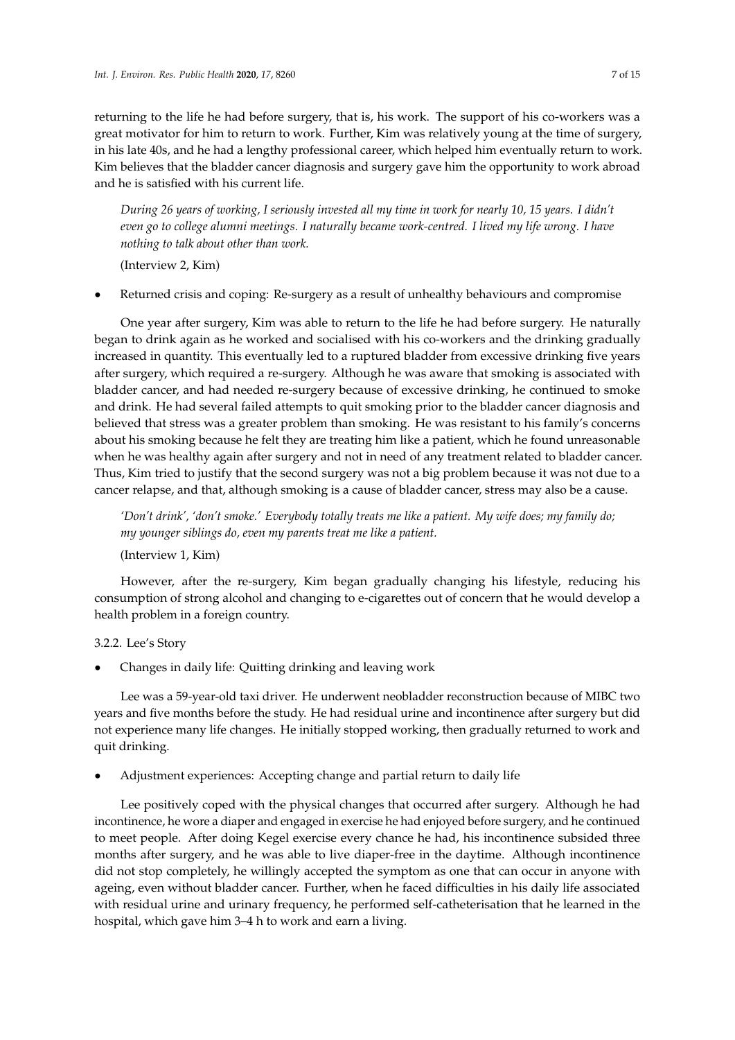returning to the life he had before surgery, that is, his work. The support of his co-workers was a great motivator for him to return to work. Further, Kim was relatively young at the time of surgery, in his late 40s, and he had a lengthy professional career, which helped him eventually return to work. Kim believes that the bladder cancer diagnosis and surgery gave him the opportunity to work abroad and he is satisfied with his current life.

*During 26 years of working, I seriously invested all my time in work for nearly 10, 15 years. I didn't even go to college alumni meetings. I naturally became work-centred. I lived my life wrong. I have nothing to talk about other than work.*

(Interview 2, Kim)

• Returned crisis and coping: Re-surgery as a result of unhealthy behaviours and compromise

One year after surgery, Kim was able to return to the life he had before surgery. He naturally began to drink again as he worked and socialised with his co-workers and the drinking gradually increased in quantity. This eventually led to a ruptured bladder from excessive drinking five years after surgery, which required a re-surgery. Although he was aware that smoking is associated with bladder cancer, and had needed re-surgery because of excessive drinking, he continued to smoke and drink. He had several failed attempts to quit smoking prior to the bladder cancer diagnosis and believed that stress was a greater problem than smoking. He was resistant to his family's concerns about his smoking because he felt they are treating him like a patient, which he found unreasonable when he was healthy again after surgery and not in need of any treatment related to bladder cancer. Thus, Kim tried to justify that the second surgery was not a big problem because it was not due to a cancer relapse, and that, although smoking is a cause of bladder cancer, stress may also be a cause.

*'Don't drink', 'don't smoke.' Everybody totally treats me like a patient. My wife does; my family do; my younger siblings do, even my parents treat me like a patient.*

(Interview 1, Kim)

However, after the re-surgery, Kim began gradually changing his lifestyle, reducing his consumption of strong alcohol and changing to e-cigarettes out of concern that he would develop a health problem in a foreign country.

3.2.2. Lee's Story

• Changes in daily life: Quitting drinking and leaving work

Lee was a 59-year-old taxi driver. He underwent neobladder reconstruction because of MIBC two years and five months before the study. He had residual urine and incontinence after surgery but did not experience many life changes. He initially stopped working, then gradually returned to work and quit drinking.

• Adjustment experiences: Accepting change and partial return to daily life

Lee positively coped with the physical changes that occurred after surgery. Although he had incontinence, he wore a diaper and engaged in exercise he had enjoyed before surgery, and he continued to meet people. After doing Kegel exercise every chance he had, his incontinence subsided three months after surgery, and he was able to live diaper-free in the daytime. Although incontinence did not stop completely, he willingly accepted the symptom as one that can occur in anyone with ageing, even without bladder cancer. Further, when he faced difficulties in his daily life associated with residual urine and urinary frequency, he performed self-catheterisation that he learned in the hospital, which gave him 3–4 h to work and earn a living.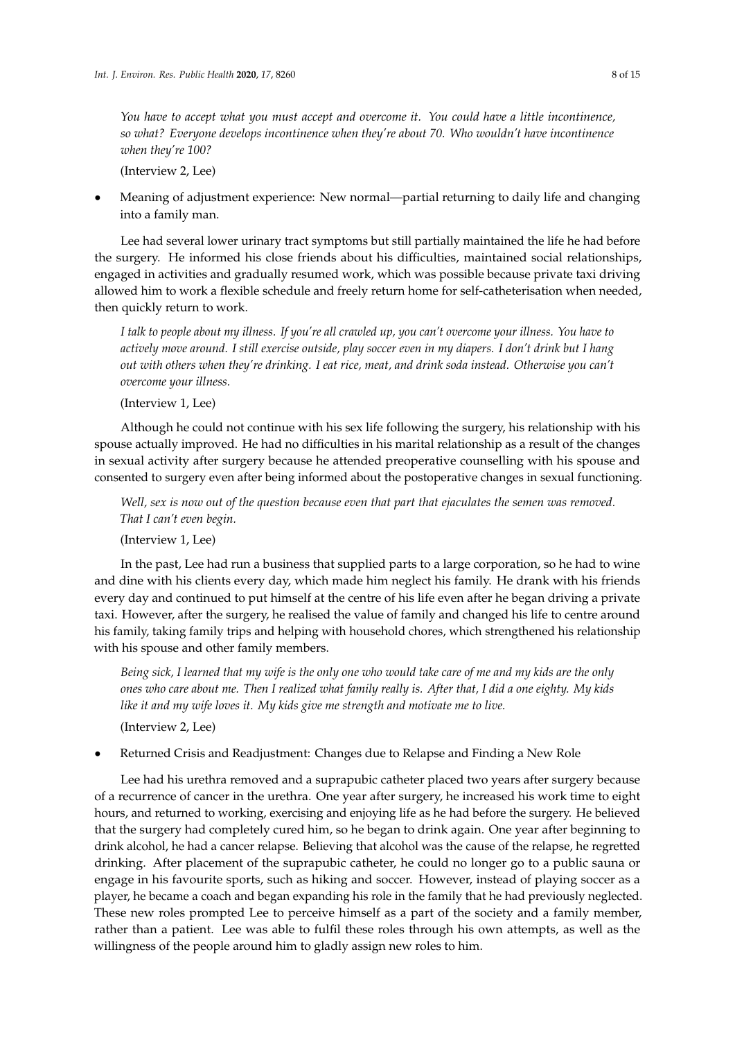*You have to accept what you must accept and overcome it. You could have a little incontinence, so what? Everyone develops incontinence when they're about 70. Who wouldn't have incontinence when they're 100?*

(Interview 2, Lee)

• Meaning of adjustment experience: New normal—partial returning to daily life and changing into a family man.

Lee had several lower urinary tract symptoms but still partially maintained the life he had before the surgery. He informed his close friends about his difficulties, maintained social relationships, engaged in activities and gradually resumed work, which was possible because private taxi driving allowed him to work a flexible schedule and freely return home for self-catheterisation when needed, then quickly return to work.

*I talk to people about my illness. If you're all crawled up, you can't overcome your illness. You have to actively move around. I still exercise outside, play soccer even in my diapers. I don't drink but I hang out with others when they're drinking. I eat rice, meat, and drink soda instead. Otherwise you can't overcome your illness.*

(Interview 1, Lee)

Although he could not continue with his sex life following the surgery, his relationship with his spouse actually improved. He had no difficulties in his marital relationship as a result of the changes in sexual activity after surgery because he attended preoperative counselling with his spouse and consented to surgery even after being informed about the postoperative changes in sexual functioning.

*Well, sex is now out of the question because even that part that ejaculates the semen was removed. That I can't even begin.*

(Interview 1, Lee)

In the past, Lee had run a business that supplied parts to a large corporation, so he had to wine and dine with his clients every day, which made him neglect his family. He drank with his friends every day and continued to put himself at the centre of his life even after he began driving a private taxi. However, after the surgery, he realised the value of family and changed his life to centre around his family, taking family trips and helping with household chores, which strengthened his relationship with his spouse and other family members.

*Being sick, I learned that my wife is the only one who would take care of me and my kids are the only ones who care about me. Then I realized what family really is. After that, I did a one eighty. My kids like it and my wife loves it. My kids give me strength and motivate me to live.*

(Interview 2, Lee)

• Returned Crisis and Readjustment: Changes due to Relapse and Finding a New Role

Lee had his urethra removed and a suprapubic catheter placed two years after surgery because of a recurrence of cancer in the urethra. One year after surgery, he increased his work time to eight hours, and returned to working, exercising and enjoying life as he had before the surgery. He believed that the surgery had completely cured him, so he began to drink again. One year after beginning to drink alcohol, he had a cancer relapse. Believing that alcohol was the cause of the relapse, he regretted drinking. After placement of the suprapubic catheter, he could no longer go to a public sauna or engage in his favourite sports, such as hiking and soccer. However, instead of playing soccer as a player, he became a coach and began expanding his role in the family that he had previously neglected. These new roles prompted Lee to perceive himself as a part of the society and a family member, rather than a patient. Lee was able to fulfil these roles through his own attempts, as well as the willingness of the people around him to gladly assign new roles to him.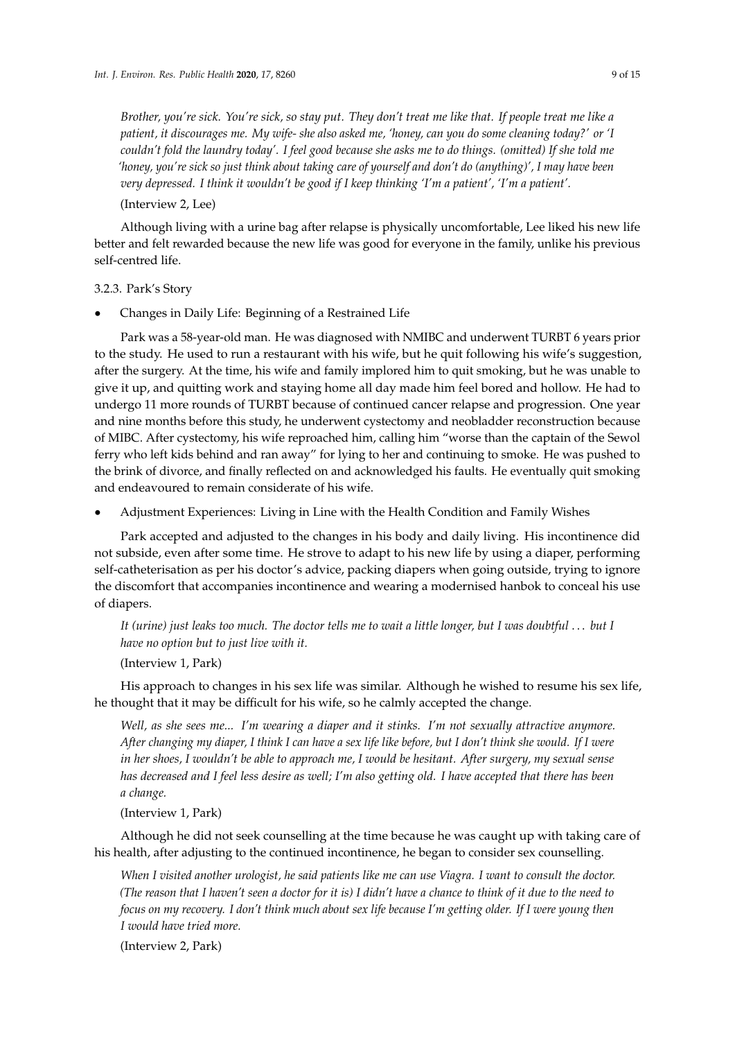*Brother, you're sick. You're sick, so stay put. They don't treat me like that. If people treat me like a patient, it discourages me. My wife- she also asked me, 'honey, can you do some cleaning today?' or 'I couldn't fold the laundry today'. I feel good because she asks me to do things. (omitted) If she told me 'honey, you're sick so just think about taking care of yourself and don't do (anything)', I may have been very depressed. I think it wouldn't be good if I keep thinking 'I'm a patient', 'I'm a patient'.*

(Interview 2, Lee)

Although living with a urine bag after relapse is physically uncomfortable, Lee liked his new life better and felt rewarded because the new life was good for everyone in the family, unlike his previous self-centred life.

3.2.3. Park's Story

• Changes in Daily Life: Beginning of a Restrained Life

Park was a 58-year-old man. He was diagnosed with NMIBC and underwent TURBT 6 years prior to the study. He used to run a restaurant with his wife, but he quit following his wife's suggestion, after the surgery. At the time, his wife and family implored him to quit smoking, but he was unable to give it up, and quitting work and staying home all day made him feel bored and hollow. He had to undergo 11 more rounds of TURBT because of continued cancer relapse and progression. One year and nine months before this study, he underwent cystectomy and neobladder reconstruction because of MIBC. After cystectomy, his wife reproached him, calling him "worse than the captain of the Sewol ferry who left kids behind and ran away" for lying to her and continuing to smoke. He was pushed to the brink of divorce, and finally reflected on and acknowledged his faults. He eventually quit smoking and endeavoured to remain considerate of his wife.

• Adjustment Experiences: Living in Line with the Health Condition and Family Wishes

Park accepted and adjusted to the changes in his body and daily living. His incontinence did not subside, even after some time. He strove to adapt to his new life by using a diaper, performing self-catheterisation as per his doctor's advice, packing diapers when going outside, trying to ignore the discomfort that accompanies incontinence and wearing a modernised hanbok to conceal his use of diapers.

*It (urine) just leaks too much. The doctor tells me to wait a little longer, but I was doubtful* . . . *but I have no option but to just live with it.*

(Interview 1, Park)

His approach to changes in his sex life was similar. Although he wished to resume his sex life, he thought that it may be difficult for his wife, so he calmly accepted the change.

*Well, as she sees me... I'm wearing a diaper and it stinks. I'm not sexually attractive anymore. After changing my diaper, I think I can have a sex life like before, but I don't think she would. If I were in her shoes, I wouldn't be able to approach me, I would be hesitant. After surgery, my sexual sense has decreased and I feel less desire as well; I'm also getting old. I have accepted that there has been a change.*

(Interview 1, Park)

Although he did not seek counselling at the time because he was caught up with taking care of his health, after adjusting to the continued incontinence, he began to consider sex counselling.

*When I visited another urologist, he said patients like me can use Viagra. I want to consult the doctor. (The reason that I haven't seen a doctor for it is) I didn't have a chance to think of it due to the need to focus on my recovery. I don't think much about sex life because I'm getting older. If I were young then I would have tried more.*

(Interview 2, Park)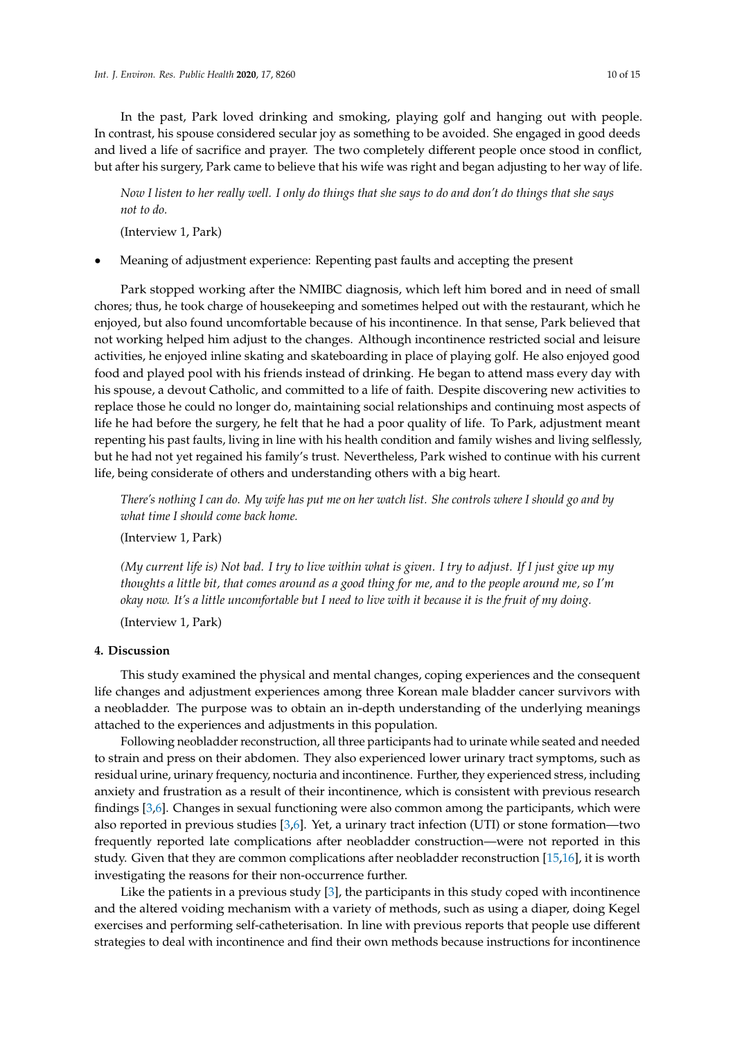In the past, Park loved drinking and smoking, playing golf and hanging out with people. In contrast, his spouse considered secular joy as something to be avoided. She engaged in good deeds and lived a life of sacrifice and prayer. The two completely different people once stood in conflict, but after his surgery, Park came to believe that his wife was right and began adjusting to her way of life.

*Now I listen to her really well. I only do things that she says to do and don't do things that she says not to do.*

(Interview 1, Park)

• Meaning of adjustment experience: Repenting past faults and accepting the present

Park stopped working after the NMIBC diagnosis, which left him bored and in need of small chores; thus, he took charge of housekeeping and sometimes helped out with the restaurant, which he enjoyed, but also found uncomfortable because of his incontinence. In that sense, Park believed that not working helped him adjust to the changes. Although incontinence restricted social and leisure activities, he enjoyed inline skating and skateboarding in place of playing golf. He also enjoyed good food and played pool with his friends instead of drinking. He began to attend mass every day with his spouse, a devout Catholic, and committed to a life of faith. Despite discovering new activities to replace those he could no longer do, maintaining social relationships and continuing most aspects of life he had before the surgery, he felt that he had a poor quality of life. To Park, adjustment meant repenting his past faults, living in line with his health condition and family wishes and living selflessly, but he had not yet regained his family's trust. Nevertheless, Park wished to continue with his current life, being considerate of others and understanding others with a big heart.

*There's nothing I can do. My wife has put me on her watch list. She controls where I should go and by what time I should come back home.*

(Interview 1, Park)

*(My current life is) Not bad. I try to live within what is given. I try to adjust. If I just give up my thoughts a little bit, that comes around as a good thing for me, and to the people around me, so I'm okay now. It's a little uncomfortable but I need to live with it because it is the fruit of my doing.*

(Interview 1, Park)

## **4. Discussion**

This study examined the physical and mental changes, coping experiences and the consequent life changes and adjustment experiences among three Korean male bladder cancer survivors with a neobladder. The purpose was to obtain an in-depth understanding of the underlying meanings attached to the experiences and adjustments in this population.

Following neobladder reconstruction, all three participants had to urinate while seated and needed to strain and press on their abdomen. They also experienced lower urinary tract symptoms, such as residual urine, urinary frequency, nocturia and incontinence. Further, they experienced stress, including anxiety and frustration as a result of their incontinence, which is consistent with previous research findings [\[3,](#page-12-2)[6\]](#page-13-2). Changes in sexual functioning were also common among the participants, which were also reported in previous studies [\[3,](#page-12-2)[6\]](#page-13-2). Yet, a urinary tract infection (UTI) or stone formation—two frequently reported late complications after neobladder construction—were not reported in this study. Given that they are common complications after neobladder reconstruction [\[15,](#page-13-11)[16\]](#page-13-12), it is worth investigating the reasons for their non-occurrence further.

Like the patients in a previous study [\[3\]](#page-12-2), the participants in this study coped with incontinence and the altered voiding mechanism with a variety of methods, such as using a diaper, doing Kegel exercises and performing self-catheterisation. In line with previous reports that people use different strategies to deal with incontinence and find their own methods because instructions for incontinence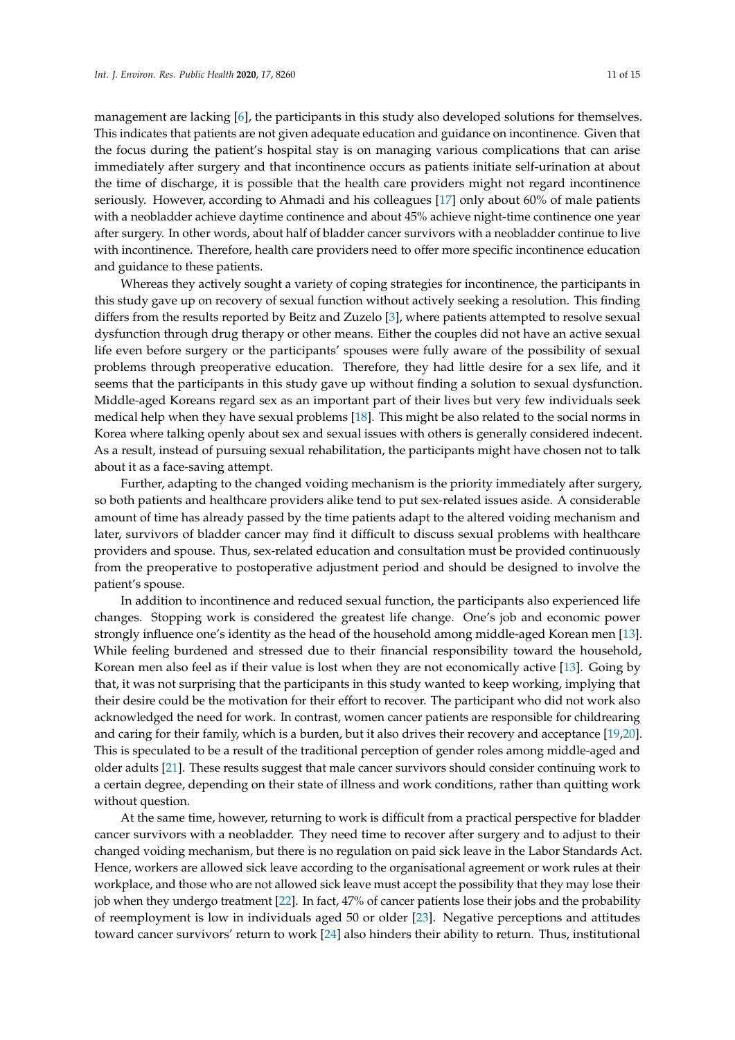management are lacking [\[6\]](#page-13-2), the participants in this study also developed solutions for themselves. This indicates that patients are not given adequate education and guidance on incontinence. Given that the focus during the patient's hospital stay is on managing various complications that can arise immediately after surgery and that incontinence occurs as patients initiate self-urination at about the time of discharge, it is possible that the health care providers might not regard incontinence seriously. However, according to Ahmadi and his colleagues [\[17\]](#page-13-13) only about 60% of male patients with a neobladder achieve daytime continence and about 45% achieve night-time continence one year after surgery. In other words, about half of bladder cancer survivors with a neobladder continue to live with incontinence. Therefore, health care providers need to offer more specific incontinence education and guidance to these patients.

Whereas they actively sought a variety of coping strategies for incontinence, the participants in this study gave up on recovery of sexual function without actively seeking a resolution. This finding differs from the results reported by Beitz and Zuzelo [\[3\]](#page-12-2), where patients attempted to resolve sexual dysfunction through drug therapy or other means. Either the couples did not have an active sexual life even before surgery or the participants' spouses were fully aware of the possibility of sexual problems through preoperative education. Therefore, they had little desire for a sex life, and it seems that the participants in this study gave up without finding a solution to sexual dysfunction. Middle-aged Koreans regard sex as an important part of their lives but very few individuals seek medical help when they have sexual problems [\[18\]](#page-13-14). This might be also related to the social norms in Korea where talking openly about sex and sexual issues with others is generally considered indecent. As a result, instead of pursuing sexual rehabilitation, the participants might have chosen not to talk about it as a face-saving attempt.

Further, adapting to the changed voiding mechanism is the priority immediately after surgery, so both patients and healthcare providers alike tend to put sex-related issues aside. A considerable amount of time has already passed by the time patients adapt to the altered voiding mechanism and later, survivors of bladder cancer may find it difficult to discuss sexual problems with healthcare providers and spouse. Thus, sex-related education and consultation must be provided continuously from the preoperative to postoperative adjustment period and should be designed to involve the patient's spouse.

In addition to incontinence and reduced sexual function, the participants also experienced life changes. Stopping work is considered the greatest life change. One's job and economic power strongly influence one's identity as the head of the household among middle-aged Korean men [\[13\]](#page-13-9). While feeling burdened and stressed due to their financial responsibility toward the household, Korean men also feel as if their value is lost when they are not economically active [\[13\]](#page-13-9). Going by that, it was not surprising that the participants in this study wanted to keep working, implying that their desire could be the motivation for their effort to recover. The participant who did not work also acknowledged the need for work. In contrast, women cancer patients are responsible for childrearing and caring for their family, which is a burden, but it also drives their recovery and acceptance [\[19,](#page-13-15)[20\]](#page-13-16). This is speculated to be a result of the traditional perception of gender roles among middle-aged and older adults [\[21\]](#page-13-17). These results suggest that male cancer survivors should consider continuing work to a certain degree, depending on their state of illness and work conditions, rather than quitting work without question.

At the same time, however, returning to work is difficult from a practical perspective for bladder cancer survivors with a neobladder. They need time to recover after surgery and to adjust to their changed voiding mechanism, but there is no regulation on paid sick leave in the Labor Standards Act. Hence, workers are allowed sick leave according to the organisational agreement or work rules at their workplace, and those who are not allowed sick leave must accept the possibility that they may lose their job when they undergo treatment [\[22\]](#page-13-18). In fact, 47% of cancer patients lose their jobs and the probability of reemployment is low in individuals aged 50 or older [\[23\]](#page-13-19). Negative perceptions and attitudes toward cancer survivors' return to work [\[24\]](#page-13-20) also hinders their ability to return. Thus, institutional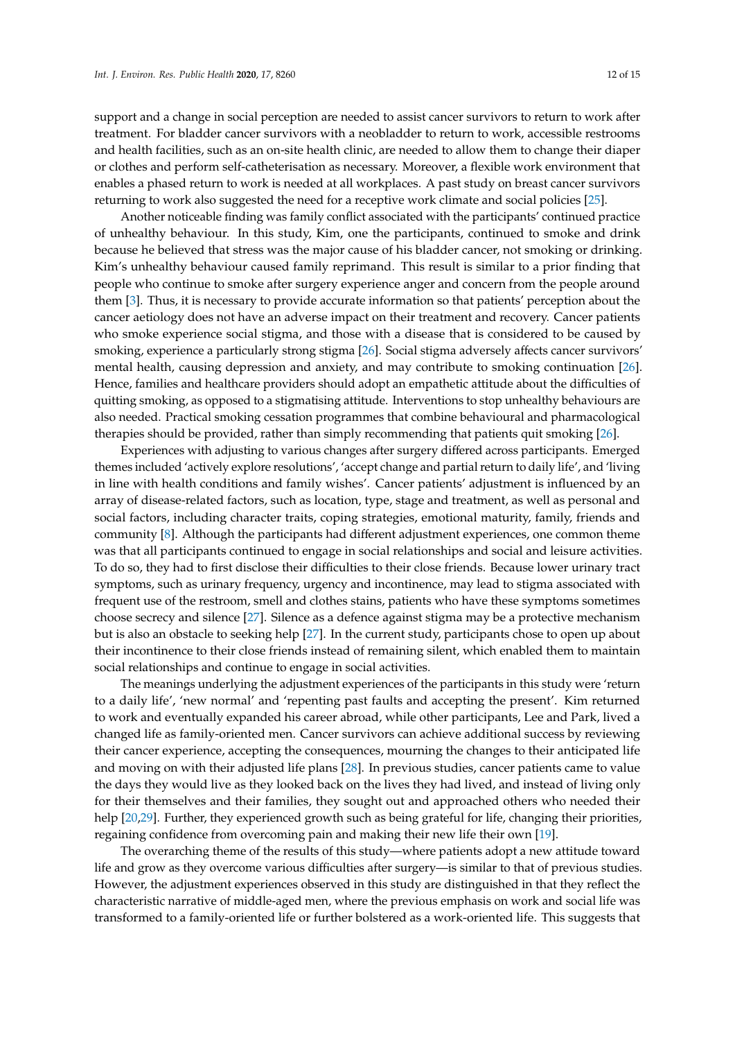support and a change in social perception are needed to assist cancer survivors to return to work after treatment. For bladder cancer survivors with a neobladder to return to work, accessible restrooms and health facilities, such as an on-site health clinic, are needed to allow them to change their diaper or clothes and perform self-catheterisation as necessary. Moreover, a flexible work environment that enables a phased return to work is needed at all workplaces. A past study on breast cancer survivors returning to work also suggested the need for a receptive work climate and social policies [\[25\]](#page-13-21).

Another noticeable finding was family conflict associated with the participants' continued practice of unhealthy behaviour. In this study, Kim, one the participants, continued to smoke and drink because he believed that stress was the major cause of his bladder cancer, not smoking or drinking. Kim's unhealthy behaviour caused family reprimand. This result is similar to a prior finding that people who continue to smoke after surgery experience anger and concern from the people around them [\[3\]](#page-12-2). Thus, it is necessary to provide accurate information so that patients' perception about the cancer aetiology does not have an adverse impact on their treatment and recovery. Cancer patients who smoke experience social stigma, and those with a disease that is considered to be caused by smoking, experience a particularly strong stigma [\[26\]](#page-14-0). Social stigma adversely affects cancer survivors' mental health, causing depression and anxiety, and may contribute to smoking continuation [\[26\]](#page-14-0). Hence, families and healthcare providers should adopt an empathetic attitude about the difficulties of quitting smoking, as opposed to a stigmatising attitude. Interventions to stop unhealthy behaviours are also needed. Practical smoking cessation programmes that combine behavioural and pharmacological therapies should be provided, rather than simply recommending that patients quit smoking [\[26\]](#page-14-0).

Experiences with adjusting to various changes after surgery differed across participants. Emerged themes included 'actively explore resolutions', 'accept change and partial return to daily life', and 'living in line with health conditions and family wishes'. Cancer patients' adjustment is influenced by an array of disease-related factors, such as location, type, stage and treatment, as well as personal and social factors, including character traits, coping strategies, emotional maturity, family, friends and community [\[8\]](#page-13-4). Although the participants had different adjustment experiences, one common theme was that all participants continued to engage in social relationships and social and leisure activities. To do so, they had to first disclose their difficulties to their close friends. Because lower urinary tract symptoms, such as urinary frequency, urgency and incontinence, may lead to stigma associated with frequent use of the restroom, smell and clothes stains, patients who have these symptoms sometimes choose secrecy and silence [\[27\]](#page-14-1). Silence as a defence against stigma may be a protective mechanism but is also an obstacle to seeking help [\[27\]](#page-14-1). In the current study, participants chose to open up about their incontinence to their close friends instead of remaining silent, which enabled them to maintain social relationships and continue to engage in social activities.

The meanings underlying the adjustment experiences of the participants in this study were 'return to a daily life', 'new normal' and 'repenting past faults and accepting the present'. Kim returned to work and eventually expanded his career abroad, while other participants, Lee and Park, lived a changed life as family-oriented men. Cancer survivors can achieve additional success by reviewing their cancer experience, accepting the consequences, mourning the changes to their anticipated life and moving on with their adjusted life plans [\[28\]](#page-14-2). In previous studies, cancer patients came to value the days they would live as they looked back on the lives they had lived, and instead of living only for their themselves and their families, they sought out and approached others who needed their help [\[20](#page-13-16)[,29\]](#page-14-3). Further, they experienced growth such as being grateful for life, changing their priorities, regaining confidence from overcoming pain and making their new life their own [\[19\]](#page-13-15).

The overarching theme of the results of this study—where patients adopt a new attitude toward life and grow as they overcome various difficulties after surgery—is similar to that of previous studies. However, the adjustment experiences observed in this study are distinguished in that they reflect the characteristic narrative of middle-aged men, where the previous emphasis on work and social life was transformed to a family-oriented life or further bolstered as a work-oriented life. This suggests that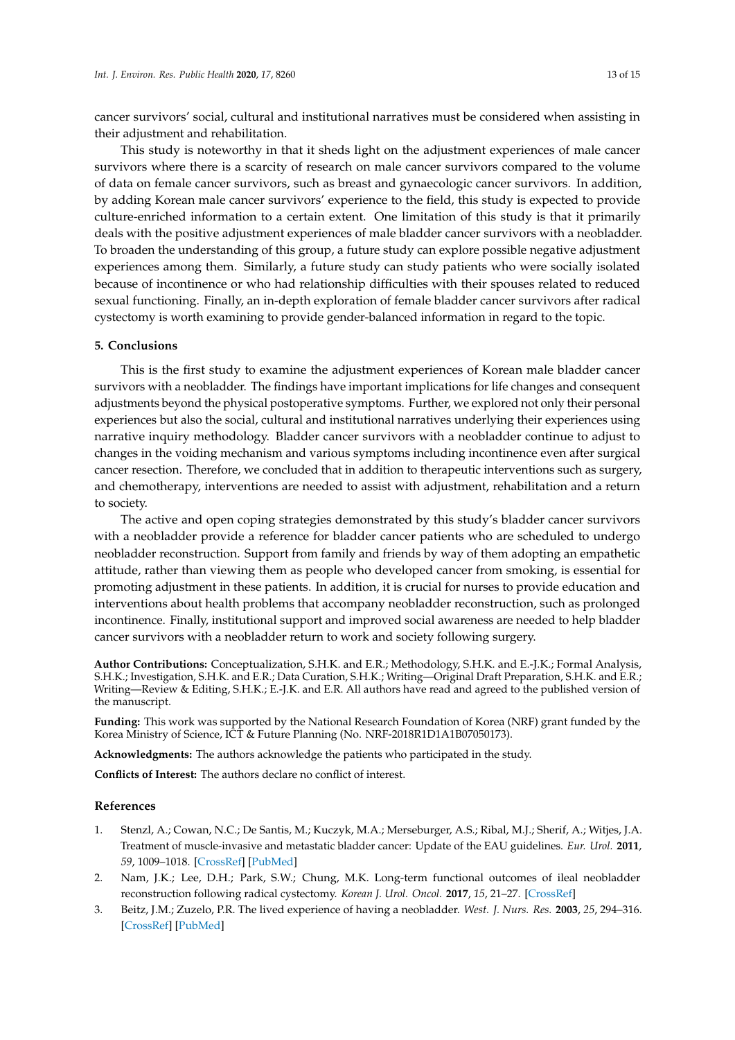cancer survivors' social, cultural and institutional narratives must be considered when assisting in their adjustment and rehabilitation.

This study is noteworthy in that it sheds light on the adjustment experiences of male cancer survivors where there is a scarcity of research on male cancer survivors compared to the volume of data on female cancer survivors, such as breast and gynaecologic cancer survivors. In addition, by adding Korean male cancer survivors' experience to the field, this study is expected to provide culture-enriched information to a certain extent. One limitation of this study is that it primarily deals with the positive adjustment experiences of male bladder cancer survivors with a neobladder. To broaden the understanding of this group, a future study can explore possible negative adjustment experiences among them. Similarly, a future study can study patients who were socially isolated because of incontinence or who had relationship difficulties with their spouses related to reduced sexual functioning. Finally, an in-depth exploration of female bladder cancer survivors after radical cystectomy is worth examining to provide gender-balanced information in regard to the topic.

## **5. Conclusions**

This is the first study to examine the adjustment experiences of Korean male bladder cancer survivors with a neobladder. The findings have important implications for life changes and consequent adjustments beyond the physical postoperative symptoms. Further, we explored not only their personal experiences but also the social, cultural and institutional narratives underlying their experiences using narrative inquiry methodology. Bladder cancer survivors with a neobladder continue to adjust to changes in the voiding mechanism and various symptoms including incontinence even after surgical cancer resection. Therefore, we concluded that in addition to therapeutic interventions such as surgery, and chemotherapy, interventions are needed to assist with adjustment, rehabilitation and a return to society.

The active and open coping strategies demonstrated by this study's bladder cancer survivors with a neobladder provide a reference for bladder cancer patients who are scheduled to undergo neobladder reconstruction. Support from family and friends by way of them adopting an empathetic attitude, rather than viewing them as people who developed cancer from smoking, is essential for promoting adjustment in these patients. In addition, it is crucial for nurses to provide education and interventions about health problems that accompany neobladder reconstruction, such as prolonged incontinence. Finally, institutional support and improved social awareness are needed to help bladder cancer survivors with a neobladder return to work and society following surgery.

**Author Contributions:** Conceptualization, S.H.K. and E.R.; Methodology, S.H.K. and E.-J.K.; Formal Analysis, S.H.K.; Investigation, S.H.K. and E.R.; Data Curation, S.H.K.; Writing—Original Draft Preparation, S.H.K. and E.R.; Writing—Review & Editing, S.H.K.; E.-J.K. and E.R. All authors have read and agreed to the published version of the manuscript.

**Funding:** This work was supported by the National Research Foundation of Korea (NRF) grant funded by the Korea Ministry of Science, ICT & Future Planning (No. NRF-2018R1D1A1B07050173).

**Acknowledgments:** The authors acknowledge the patients who participated in the study.

**Conflicts of Interest:** The authors declare no conflict of interest.

#### **References**

- <span id="page-12-0"></span>1. Stenzl, A.; Cowan, N.C.; De Santis, M.; Kuczyk, M.A.; Merseburger, A.S.; Ribal, M.J.; Sherif, A.; Witjes, J.A. Treatment of muscle-invasive and metastatic bladder cancer: Update of the EAU guidelines. *Eur. Urol.* **2011**, *59*, 1009–1018. [\[CrossRef\]](http://dx.doi.org/10.1016/j.eururo.2011.03.023) [\[PubMed\]](http://www.ncbi.nlm.nih.gov/pubmed/21454009)
- <span id="page-12-1"></span>2. Nam, J.K.; Lee, D.H.; Park, S.W.; Chung, M.K. Long-term functional outcomes of ileal neobladder reconstruction following radical cystectomy. *Korean J. Urol. Oncol.* **2017**, *15*, 21–27. [\[CrossRef\]](http://dx.doi.org/10.22465/kjuo.2017.15.1.21)
- <span id="page-12-2"></span>3. Beitz, J.M.; Zuzelo, P.R. The lived experience of having a neobladder. *West. J. Nurs. Res.* **2003**, *25*, 294–316. [\[CrossRef\]](http://dx.doi.org/10.1177/0193945902250417) [\[PubMed\]](http://www.ncbi.nlm.nih.gov/pubmed/12705113)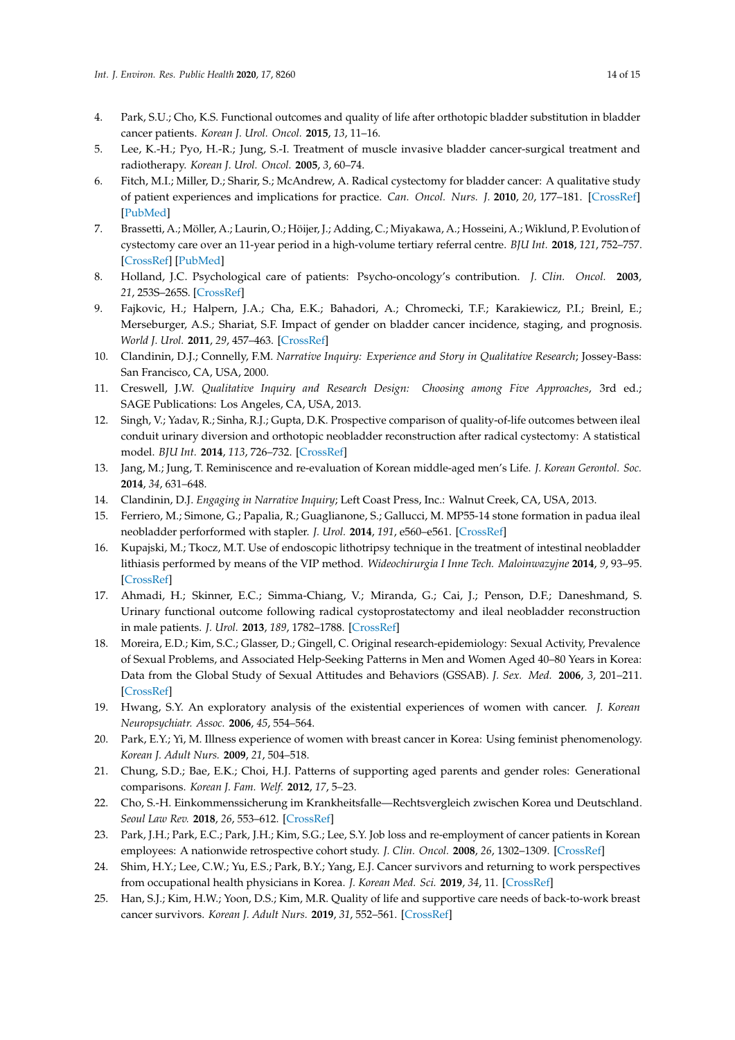- <span id="page-13-0"></span>4. Park, S.U.; Cho, K.S. Functional outcomes and quality of life after orthotopic bladder substitution in bladder cancer patients. *Korean J. Urol. Oncol.* **2015**, *13*, 11–16.
- <span id="page-13-1"></span>5. Lee, K.-H.; Pyo, H.-R.; Jung, S.-I. Treatment of muscle invasive bladder cancer-surgical treatment and radiotherapy. *Korean J. Urol. Oncol.* **2005**, *3*, 60–74.
- <span id="page-13-2"></span>6. Fitch, M.I.; Miller, D.; Sharir, S.; McAndrew, A. Radical cystectomy for bladder cancer: A qualitative study of patient experiences and implications for practice. *Can. Oncol. Nurs. J.* **2010**, *20*, 177–181. [\[CrossRef\]](http://dx.doi.org/10.5737/1181912x204177181) [\[PubMed\]](http://www.ncbi.nlm.nih.gov/pubmed/21171541)
- <span id="page-13-3"></span>7. Brassetti, A.; Möller, A.; Laurin, O.; Höijer, J.; Adding, C.; Miyakawa, A.; Hosseini, A.; Wiklund, P. Evolution of cystectomy care over an 11-year period in a high-volume tertiary referral centre. *BJU Int.* **2018**, *121*, 752–757. [\[CrossRef\]](http://dx.doi.org/10.1111/bju.14112) [\[PubMed\]](http://www.ncbi.nlm.nih.gov/pubmed/29281852)
- <span id="page-13-4"></span>8. Holland, J.C. Psychological care of patients: Psycho-oncology's contribution. *J. Clin. Oncol.* **2003**, *21*, 253S–265S. [\[CrossRef\]](http://dx.doi.org/10.1200/JCO.2003.09.133)
- <span id="page-13-5"></span>9. Fajkovic, H.; Halpern, J.A.; Cha, E.K.; Bahadori, A.; Chromecki, T.F.; Karakiewicz, P.I.; Breinl, E.; Merseburger, A.S.; Shariat, S.F. Impact of gender on bladder cancer incidence, staging, and prognosis. *World J. Urol.* **2011**, *29*, 457–463. [\[CrossRef\]](http://dx.doi.org/10.1007/s00345-011-0709-9)
- <span id="page-13-6"></span>10. Clandinin, D.J.; Connelly, F.M. *Narrative Inquiry: Experience and Story in Qualitative Research*; Jossey-Bass: San Francisco, CA, USA, 2000.
- <span id="page-13-7"></span>11. Creswell, J.W. *Qualitative Inquiry and Research Design: Choosing among Five Approaches*, 3rd ed.; SAGE Publications: Los Angeles, CA, USA, 2013.
- <span id="page-13-8"></span>12. Singh, V.; Yadav, R.; Sinha, R.J.; Gupta, D.K. Prospective comparison of quality-of-life outcomes between ileal conduit urinary diversion and orthotopic neobladder reconstruction after radical cystectomy: A statistical model. *BJU Int.* **2014**, *113*, 726–732. [\[CrossRef\]](http://dx.doi.org/10.1111/bju.12440)
- <span id="page-13-9"></span>13. Jang, M.; Jung, T. Reminiscence and re-evaluation of Korean middle-aged men's Life. *J. Korean Gerontol. Soc.* **2014**, *34*, 631–648.
- <span id="page-13-10"></span>14. Clandinin, D.J. *Engaging in Narrative Inquiry*; Left Coast Press, Inc.: Walnut Creek, CA, USA, 2013.
- <span id="page-13-11"></span>15. Ferriero, M.; Simone, G.; Papalia, R.; Guaglianone, S.; Gallucci, M. MP55-14 stone formation in padua ileal neobladder perforformed with stapler. *J. Urol.* **2014**, *191*, e560–e561. [\[CrossRef\]](http://dx.doi.org/10.1016/j.juro.2014.02.1562)
- <span id="page-13-12"></span>16. Kupajski, M.; Tkocz, M.T. Use of endoscopic lithotripsy technique in the treatment of intestinal neobladder lithiasis performed by means of the VIP method. *Wideochirurgia I Inne Tech. Maloinwazyjne* **2014**, *9*, 93–95. [\[CrossRef\]](http://dx.doi.org/10.5114/wiitm.2013.40105)
- <span id="page-13-13"></span>17. Ahmadi, H.; Skinner, E.C.; Simma-Chiang, V.; Miranda, G.; Cai, J.; Penson, D.F.; Daneshmand, S. Urinary functional outcome following radical cystoprostatectomy and ileal neobladder reconstruction in male patients. *J. Urol.* **2013**, *189*, 1782–1788. [\[CrossRef\]](http://dx.doi.org/10.1016/j.juro.2012.11.078)
- <span id="page-13-14"></span>18. Moreira, E.D.; Kim, S.C.; Glasser, D.; Gingell, C. Original research-epidemiology: Sexual Activity, Prevalence of Sexual Problems, and Associated Help-Seeking Patterns in Men and Women Aged 40–80 Years in Korea: Data from the Global Study of Sexual Attitudes and Behaviors (GSSAB). *J. Sex. Med.* **2006**, *3*, 201–211. [\[CrossRef\]](http://dx.doi.org/10.1111/j.1743-6109.2006.00210.x)
- <span id="page-13-15"></span>19. Hwang, S.Y. An exploratory analysis of the existential experiences of women with cancer. *J. Korean Neuropsychiatr. Assoc.* **2006**, *45*, 554–564.
- <span id="page-13-16"></span>20. Park, E.Y.; Yi, M. Illness experience of women with breast cancer in Korea: Using feminist phenomenology. *Korean J. Adult Nurs.* **2009**, *21*, 504–518.
- <span id="page-13-17"></span>21. Chung, S.D.; Bae, E.K.; Choi, H.J. Patterns of supporting aged parents and gender roles: Generational comparisons. *Korean J. Fam. Welf.* **2012**, *17*, 5–23.
- <span id="page-13-18"></span>22. Cho, S.-H. Einkommenssicherung im Krankheitsfalle—Rechtsvergleich zwischen Korea und Deutschland. *Seoul Law Rev.* **2018**, *26*, 553–612. [\[CrossRef\]](http://dx.doi.org/10.15821/slr.2018.26.3.015)
- <span id="page-13-19"></span>23. Park, J.H.; Park, E.C.; Park, J.H.; Kim, S.G.; Lee, S.Y. Job loss and re-employment of cancer patients in Korean employees: A nationwide retrospective cohort study. *J. Clin. Oncol.* **2008**, *26*, 1302–1309. [\[CrossRef\]](http://dx.doi.org/10.1200/JCO.2007.14.2984)
- <span id="page-13-20"></span>24. Shim, H.Y.; Lee, C.W.; Yu, E.S.; Park, B.Y.; Yang, E.J. Cancer survivors and returning to work perspectives from occupational health physicians in Korea. *J. Korean Med. Sci.* **2019**, *34*, 11. [\[CrossRef\]](http://dx.doi.org/10.3346/jkms.2019.34.e98)
- <span id="page-13-21"></span>25. Han, S.J.; Kim, H.W.; Yoon, D.S.; Kim, M.R. Quality of life and supportive care needs of back-to-work breast cancer survivors. *Korean J. Adult Nurs.* **2019**, *31*, 552–561. [\[CrossRef\]](http://dx.doi.org/10.7475/kjan.2019.31.5.552)